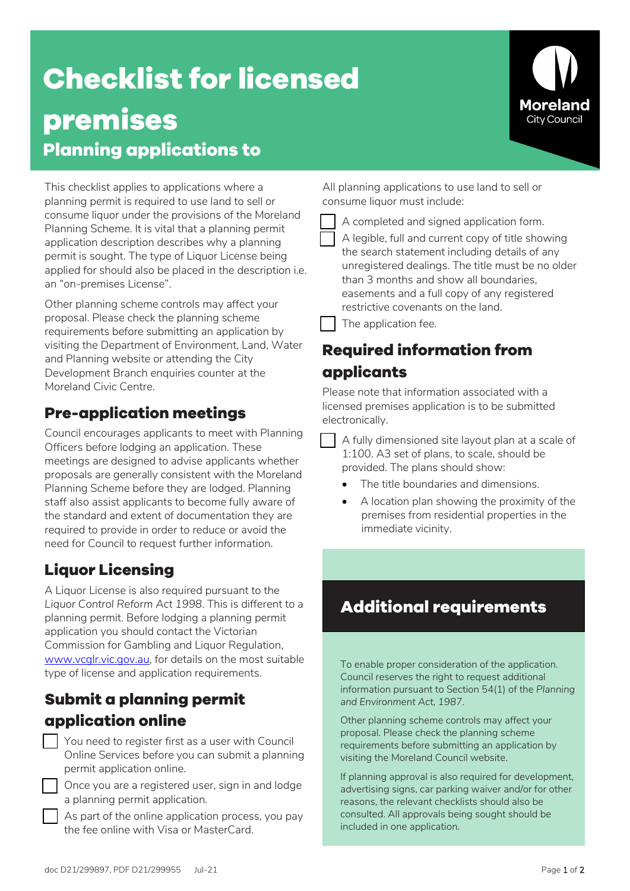# **Checklist for licensed premises Planning applications to**

This checklist applies to applications where a planning permit is required to use land to sell or consume liquor under the provisions of the Moreland Planning Scheme. It is vital that a planning permit application description describes why a planning permit is sought. The type of Liquor License being applied for should also be placed in the description i.e. an "on-premises License". 

Other planning scheme controls may affect your proposal. Please check the planning scheme requirements before submitting an application by visiting the Department of Environment, Land, Water and Planning website or attending the City Development Branch enquiries counter at the Moreland Civic Centre.

### **Pre-application meetings**

Council encourages applicants to meet with Planning Officers before lodging an application. These meetings are designed to advise applicants whether proposals are generally consistent with the Moreland Planning Scheme before they are lodged. Planning staff also assist applicants to become fully aware of the standard and extent of documentation they are required to provide in order to reduce or avoid the need for Council to request further information.

## **Liquor Licensing**

A Liquor License is also required pursuant to the *Liquor Control Reform Act 1998*. This is different to a planning permit. Before lodging a planning permit application you should contact the Victorian Commission for Gambling and Liquor Regulation, [www.vcglr.vic.gov.au,](https://www.vcglr.vic.gov.au/) for details on the most suitable type of license and application requirements.

### **Submit a planning permit application online**

 You need to register first as a user with Council Online Services before you can submit a planning permit application online.

 Once you are a registered user, sign in and lodge a planning permit application.

 As part of the online application process, you pay the fee online with Visa or MasterCard.

All planning applications to use land to sell or consume liquor must include:

A completed and signed application form.

 A legible, full and current copy of title showing the search statement including details of any unregistered dealings. The title must be no older than 3 months and show all boundaries, easements and a full copy of any registered restrictive covenants on the land.

The application fee.

# **Required information from applicants**

Please note that information associated with a licensed premises application is to be submitted electronically.

 A fully dimensioned site layout plan at a scale of 1:100. A3 set of plans, to scale, should be provided. The plans should show:

- The title boundaries and dimensions.
- A location plan showing the proximity of the premises from residential properties in the immediate vicinity.

# **Additional requirements**

To enable proper consideration of the application. Council reserves the right to request additional information pursuant to Section 54(1) of the *Planning and Environment Act, 1987*.

Other planning scheme controls may affect your proposal. Please check the planning scheme requirements before submitting an application by visiting the Moreland Council website.

If planning approval is also required for development, advertising signs, car parking waiver and/or for other reasons, the relevant checklists should also be consulted. All approvals being sought should be included in one application.